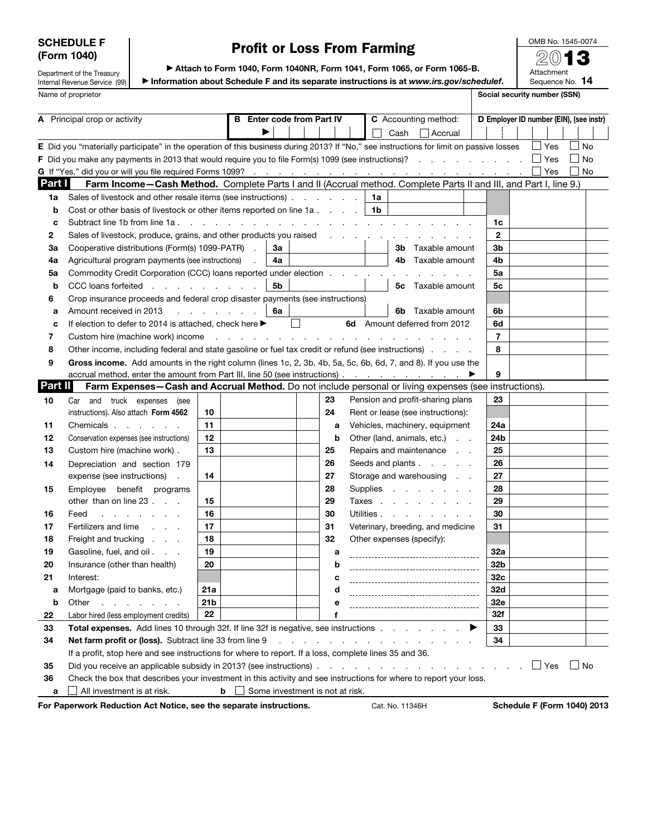## SCHEDULE F (Form 1040)

# Profit or Loss From Farming

OMB No. 1545-0074 2013

Attachment

Department of the Treasury Internal Revenue Service (99) Name of proprietor Social security number (SSN)

▶ Attach to Form 1040, Form 1040NR, Form 1041, Form 1065, or Form 1065-B. ▶ Information about Schedule F and its separate instructions is at *www.irs.gov/schedulef*.

Sequence No. 14

| A Principal crop or activity |                                                                                                                                         | <b>Enter code from Part IV</b><br>в |                                                                                  |    |                                 |    | C Accounting method: |                                |                 | D Employer ID number (EIN), (see instr)                                                                         |   |                                    |  |  |            |                |           |  |
|------------------------------|-----------------------------------------------------------------------------------------------------------------------------------------|-------------------------------------|----------------------------------------------------------------------------------|----|---------------------------------|----|----------------------|--------------------------------|-----------------|-----------------------------------------------------------------------------------------------------------------|---|------------------------------------|--|--|------------|----------------|-----------|--|
|                              |                                                                                                                                         |                                     |                                                                                  |    |                                 |    |                      |                                | Cash            | $\vert$ Accrual                                                                                                 |   |                                    |  |  |            |                |           |  |
|                              | E Did you "materially participate" in the operation of this business during 2013? If "No," see instructions for limit on passive losses |                                     |                                                                                  |    |                                 |    |                      |                                |                 |                                                                                                                 |   |                                    |  |  | $\Box$ Yes |                | No        |  |
|                              | <b>F</b> Did you make any payments in 2013 that would require you to file Form(s) 1099 (see instructions)?                              |                                     |                                                                                  |    |                                 |    |                      |                                |                 |                                                                                                                 |   |                                    |  |  | $\Box$ Yes |                | No        |  |
|                              |                                                                                                                                         |                                     |                                                                                  |    |                                 |    |                      |                                |                 |                                                                                                                 |   |                                    |  |  | Yes        | $\blacksquare$ | <b>No</b> |  |
| Part I                       | Farm Income-Cash Method. Complete Parts I and II (Accrual method. Complete Parts II and III, and Part I, line 9.)                       |                                     |                                                                                  |    |                                 |    |                      |                                |                 |                                                                                                                 |   |                                    |  |  |            |                |           |  |
| 1a                           | Sales of livestock and other resale items (see instructions)                                                                            |                                     |                                                                                  |    |                                 |    |                      | 1a                             |                 |                                                                                                                 |   |                                    |  |  |            |                |           |  |
| b                            | Cost or other basis of livestock or other items reported on line 1a.                                                                    |                                     |                                                                                  |    |                                 |    |                      | 1b                             |                 |                                                                                                                 |   |                                    |  |  |            |                |           |  |
| c                            | Subtract line 1b from line 1a.                                                                                                          |                                     | $\mathbf{r}$ and $\mathbf{r}$ and $\mathbf{r}$ and $\mathbf{r}$ and $\mathbf{r}$ |    |                                 |    |                      |                                |                 | the contract of the contract of the contract of the contract of the contract of the contract of the contract of |   | 1c                                 |  |  |            |                |           |  |
| 2                            | Sales of livestock, produce, grains, and other products you raised                                                                      |                                     |                                                                                  |    |                                 |    |                      | and the company of the company |                 |                                                                                                                 |   | 2                                  |  |  |            |                |           |  |
| За                           | Cooperative distributions (Form(s) 1099-PATR).                                                                                          |                                     |                                                                                  | За |                                 |    |                      |                                |                 | <b>3b</b> Taxable amount                                                                                        |   | 3 <sub>b</sub>                     |  |  |            |                |           |  |
| 4a                           | Agricultural program payments (see instructions)                                                                                        |                                     |                                                                                  | 4a |                                 |    |                      |                                |                 | 4b Taxable amount                                                                                               |   | 4b                                 |  |  |            |                |           |  |
| 5a                           | Commodity Credit Corporation (CCC) loans reported under election                                                                        |                                     |                                                                                  |    |                                 |    |                      |                                |                 |                                                                                                                 |   | 5a                                 |  |  |            |                |           |  |
| b                            | CCC loans forfeited                                                                                                                     |                                     |                                                                                  | 5b |                                 |    |                      |                                |                 | <b>5c</b> Taxable amount                                                                                        |   | 5с                                 |  |  |            |                |           |  |
| 6                            | Crop insurance proceeds and federal crop disaster payments (see instructions)                                                           |                                     |                                                                                  |    |                                 |    |                      |                                |                 |                                                                                                                 |   |                                    |  |  |            |                |           |  |
| a                            | Amount received in 2013                                                                                                                 |                                     | the contract of the contract of                                                  | 6a |                                 |    |                      |                                | 6b.             | Taxable amount                                                                                                  |   | 6b                                 |  |  |            |                |           |  |
| c                            | If election to defer to 2014 is attached, check here ▶                                                                                  |                                     |                                                                                  |    |                                 |    |                      |                                |                 | 6d Amount deferred from 2012                                                                                    |   | 6d                                 |  |  |            |                |           |  |
| 7                            | Custom hire (machine work) income                                                                                                       |                                     | and a series of the contract of the contract of the contract of                  |    |                                 |    |                      |                                |                 |                                                                                                                 |   | $\overline{7}$                     |  |  |            |                |           |  |
| 8                            | Other income, including federal and state gasoline or fuel tax credit or refund (see instructions).                                     |                                     |                                                                                  |    |                                 |    |                      |                                |                 |                                                                                                                 |   | 8                                  |  |  |            |                |           |  |
| 9                            | Gross income. Add amounts in the right column (lines 1c, 2, 3b, 4b, 5a, 5c, 6b, 6d, 7, and 8). If you use the                           |                                     |                                                                                  |    |                                 |    |                      |                                |                 |                                                                                                                 |   |                                    |  |  |            |                |           |  |
|                              | accrual method, enter the amount from Part III, line 50 (see instructions)                                                              |                                     |                                                                                  |    |                                 |    |                      |                                |                 |                                                                                                                 |   | 9                                  |  |  |            |                |           |  |
| Part II                      | Farm Expenses-Cash and Accrual Method. Do not include personal or living expenses (see instructions).                                   |                                     |                                                                                  |    |                                 |    |                      |                                |                 |                                                                                                                 |   |                                    |  |  |            |                |           |  |
| 10                           | Car and truck expenses<br>(see                                                                                                          |                                     |                                                                                  |    |                                 | 23 |                      |                                |                 | Pension and profit-sharing plans                                                                                |   | 23                                 |  |  |            |                |           |  |
|                              | instructions). Also attach Form 4562                                                                                                    | 10                                  |                                                                                  |    |                                 | 24 |                      |                                |                 | Rent or lease (see instructions):                                                                               |   |                                    |  |  |            |                |           |  |
| 11                           | Chemicals                                                                                                                               | 11                                  |                                                                                  |    |                                 | a  |                      |                                |                 | Vehicles, machinery, equipment                                                                                  |   | 24a                                |  |  |            |                |           |  |
| 12                           | Conservation expenses (see instructions)                                                                                                | 12                                  |                                                                                  |    |                                 | b  |                      |                                |                 | Other (land, animals, etc.)                                                                                     |   | 24b                                |  |  |            |                |           |  |
| 13                           | Custom hire (machine work).                                                                                                             | 13                                  |                                                                                  |    |                                 | 25 |                      |                                |                 | Repairs and maintenance                                                                                         |   | 25                                 |  |  |            |                |           |  |
| 14                           | Depreciation and section 179                                                                                                            |                                     |                                                                                  |    |                                 | 26 |                      |                                |                 | Seeds and plants                                                                                                |   | 26                                 |  |  |            |                |           |  |
|                              | expense (see instructions)<br>÷.                                                                                                        | 14                                  |                                                                                  |    |                                 | 27 |                      |                                |                 | Storage and warehousing                                                                                         |   | 27                                 |  |  |            |                |           |  |
| 15                           | Employee benefit programs                                                                                                               |                                     |                                                                                  |    |                                 | 28 |                      |                                |                 | Supplies                                                                                                        |   | 28                                 |  |  |            |                |           |  |
|                              | other than on line 23                                                                                                                   | 15                                  |                                                                                  |    |                                 | 29 |                      |                                |                 | Taxes                                                                                                           |   | 29                                 |  |  |            |                |           |  |
| 16                           | Feed<br>and a state of the state of                                                                                                     | 16                                  |                                                                                  |    |                                 | 30 |                      |                                |                 | Utilities                                                                                                       |   | 30                                 |  |  |            |                |           |  |
| 17                           | Fertilizers and lime                                                                                                                    | 17                                  |                                                                                  |    |                                 | 31 |                      |                                |                 | Veterinary, breeding, and medicine                                                                              |   | 31                                 |  |  |            |                |           |  |
| 18                           | Freight and trucking                                                                                                                    | 18                                  |                                                                                  |    |                                 | 32 |                      |                                |                 | Other expenses (specify):                                                                                       |   |                                    |  |  |            |                |           |  |
| 19                           | Gasoline, fuel, and oil                                                                                                                 | 19                                  |                                                                                  |    |                                 | а  |                      |                                |                 |                                                                                                                 |   | 32a                                |  |  |            |                |           |  |
| 20                           | Insurance (other than health)                                                                                                           | 20                                  |                                                                                  |    |                                 | b  |                      |                                |                 |                                                                                                                 |   | 32b                                |  |  |            |                |           |  |
| 21                           | Interest:                                                                                                                               |                                     |                                                                                  |    |                                 |    |                      |                                |                 | ------------------------------------                                                                            |   | 32c                                |  |  |            |                |           |  |
| а                            | Mortgage (paid to banks, etc.)                                                                                                          | 21a                                 |                                                                                  |    |                                 | d  |                      |                                |                 |                                                                                                                 |   | 32d                                |  |  |            |                |           |  |
| b                            | Other<br>$\mathbf{r}$ , $\mathbf{r}$ , $\mathbf{r}$ , $\mathbf{r}$ , $\mathbf{r}$                                                       | 21 <sub>b</sub>                     |                                                                                  |    |                                 | е  |                      |                                |                 | -----------------------------------                                                                             |   | 32e                                |  |  |            |                |           |  |
| 22                           | Labor hired (less employment credits)                                                                                                   | 22                                  |                                                                                  |    |                                 | f  |                      |                                |                 |                                                                                                                 |   | 32f                                |  |  |            |                |           |  |
| 33                           | <b>Total expenses.</b> Add lines 10 through 32f. If line 32f is negative, see instructions                                              |                                     |                                                                                  |    |                                 |    |                      |                                |                 |                                                                                                                 | ▶ | 33                                 |  |  |            |                |           |  |
| 34                           | Net farm profit or (loss). Subtract line 33 from line 9                                                                                 |                                     |                                                                                  |    |                                 |    |                      |                                |                 | the second contract of the second contract of the second                                                        |   | 34                                 |  |  |            |                |           |  |
|                              | If a profit, stop here and see instructions for where to report. If a loss, complete lines 35 and 36.                                   |                                     |                                                                                  |    |                                 |    |                      |                                |                 |                                                                                                                 |   |                                    |  |  |            |                |           |  |
| 35                           |                                                                                                                                         |                                     |                                                                                  |    |                                 |    |                      |                                |                 |                                                                                                                 |   |                                    |  |  | $\Box$ Yes |                | l INo     |  |
| 36                           | Check the box that describes your investment in this activity and see instructions for where to report your loss.                       |                                     |                                                                                  |    |                                 |    |                      |                                |                 |                                                                                                                 |   |                                    |  |  |            |                |           |  |
| a                            | All investment is at risk.                                                                                                              |                                     | b                                                                                |    | Some investment is not at risk. |    |                      |                                |                 |                                                                                                                 |   |                                    |  |  |            |                |           |  |
|                              | For Paperwork Reduction Act Notice, see the separate instructions.                                                                      |                                     |                                                                                  |    |                                 |    |                      |                                | Cat. No. 11346H |                                                                                                                 |   | <b>Schedule F (Form 1040) 2013</b> |  |  |            |                |           |  |